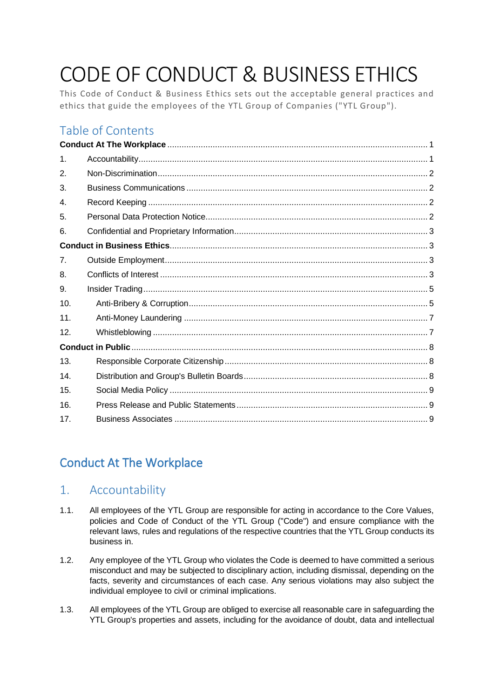# CODE OF CONDUCT & BUSINESS ETHICS

This Code of Conduct & Business Ethics sets out the acceptable general practices and ethics that guide the employees of the YTL Group of Companies ("YTL Group").

# Table of Contents

| $\mathbf 1$ .   |  |
|-----------------|--|
| 2.              |  |
| 3.              |  |
| 4.              |  |
| 5.              |  |
| 6.              |  |
|                 |  |
| 7 <sub>1</sub>  |  |
| 8.              |  |
| 9.              |  |
| 10 <sub>1</sub> |  |
| 11.             |  |
| 12.             |  |
|                 |  |
| 13.             |  |
| 14.             |  |
| 15.             |  |
| 16.             |  |
| 17 <sub>1</sub> |  |

# <span id="page-0-0"></span>Conduct At The Workplace

### <span id="page-0-1"></span>1. Accountability

- 1.1. All employees of the YTL Group are responsible for acting in accordance to the Core Values, policies and Code of Conduct of the YTL Group ("Code") and ensure compliance with the relevant laws, rules and regulations of the respective countries that the YTL Group conducts its business in.
- 1.2. Any employee of the YTL Group who violates the Code is deemed to have committed a serious misconduct and may be subjected to disciplinary action, including dismissal, depending on the facts, severity and circumstances of each case. Any serious violations may also subject the individual employee to civil or criminal implications.
- 1.3. All employees of the YTL Group are obliged to exercise all reasonable care in safeguarding the YTL Group's properties and assets, including for the avoidance of doubt, data and intellectual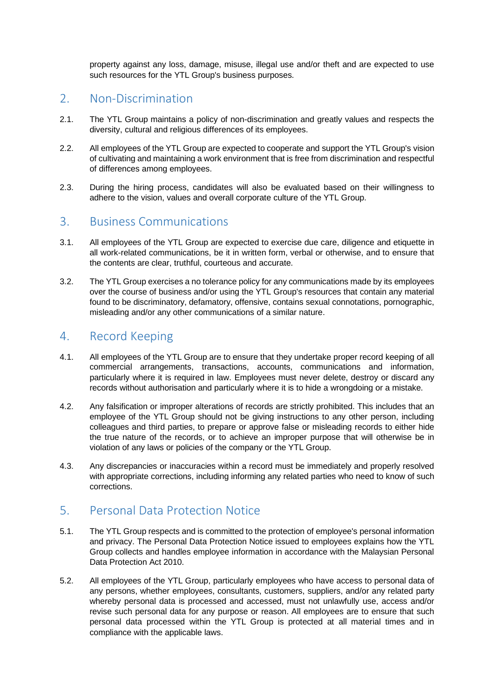property against any loss, damage, misuse, illegal use and/or theft and are expected to use such resources for the YTL Group's business purposes.

### <span id="page-1-0"></span>2. Non-Discrimination

- 2.1. The YTL Group maintains a policy of non-discrimination and greatly values and respects the diversity, cultural and religious differences of its employees.
- 2.2. All employees of the YTL Group are expected to cooperate and support the YTL Group's vision of cultivating and maintaining a work environment that is free from discrimination and respectful of differences among employees.
- 2.3. During the hiring process, candidates will also be evaluated based on their willingness to adhere to the vision, values and overall corporate culture of the YTL Group.

### <span id="page-1-1"></span>3. Business Communications

- 3.1. All employees of the YTL Group are expected to exercise due care, diligence and etiquette in all work-related communications, be it in written form, verbal or otherwise, and to ensure that the contents are clear, truthful, courteous and accurate.
- 3.2. The YTL Group exercises a no tolerance policy for any communications made by its employees over the course of business and/or using the YTL Group's resources that contain any material found to be discriminatory, defamatory, offensive, contains sexual connotations, pornographic, misleading and/or any other communications of a similar nature.

### <span id="page-1-2"></span>4. Record Keeping

- 4.1. All employees of the YTL Group are to ensure that they undertake proper record keeping of all commercial arrangements, transactions, accounts, communications and information, particularly where it is required in law. Employees must never delete, destroy or discard any records without authorisation and particularly where it is to hide a wrongdoing or a mistake.
- 4.2. Any falsification or improper alterations of records are strictly prohibited. This includes that an employee of the YTL Group should not be giving instructions to any other person, including colleagues and third parties, to prepare or approve false or misleading records to either hide the true nature of the records, or to achieve an improper purpose that will otherwise be in violation of any laws or policies of the company or the YTL Group.
- 4.3. Any discrepancies or inaccuracies within a record must be immediately and properly resolved with appropriate corrections, including informing any related parties who need to know of such corrections.

### <span id="page-1-3"></span>5. Personal Data Protection Notice

- 5.1. The YTL Group respects and is committed to the protection of employee's personal information and privacy. The Personal Data Protection Notice issued to employees explains how the YTL Group collects and handles employee information in accordance with the Malaysian Personal Data Protection Act 2010.
- 5.2. All employees of the YTL Group, particularly employees who have access to personal data of any persons, whether employees, consultants, customers, suppliers, and/or any related party whereby personal data is processed and accessed, must not unlawfully use, access and/or revise such personal data for any purpose or reason. All employees are to ensure that such personal data processed within the YTL Group is protected at all material times and in compliance with the applicable laws.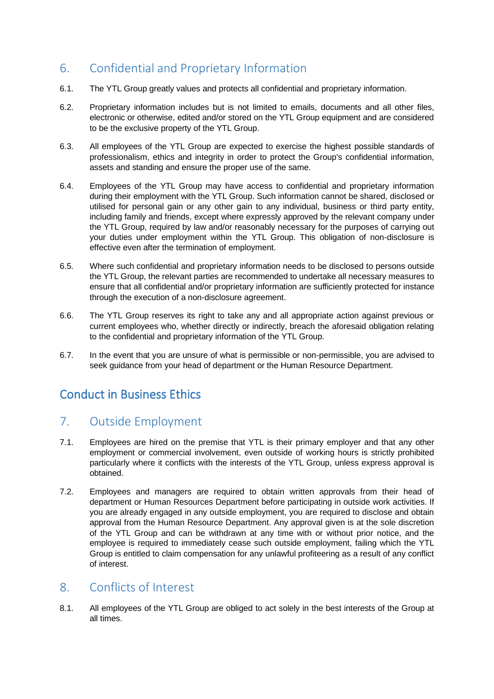### <span id="page-2-0"></span>6. Confidential and Proprietary Information

- 6.1. The YTL Group greatly values and protects all confidential and proprietary information.
- 6.2. Proprietary information includes but is not limited to emails, documents and all other files, electronic or otherwise, edited and/or stored on the YTL Group equipment and are considered to be the exclusive property of the YTL Group.
- 6.3. All employees of the YTL Group are expected to exercise the highest possible standards of professionalism, ethics and integrity in order to protect the Group's confidential information, assets and standing and ensure the proper use of the same.
- 6.4. Employees of the YTL Group may have access to confidential and proprietary information during their employment with the YTL Group. Such information cannot be shared, disclosed or utilised for personal gain or any other gain to any individual, business or third party entity, including family and friends, except where expressly approved by the relevant company under the YTL Group, required by law and/or reasonably necessary for the purposes of carrying out your duties under employment within the YTL Group. This obligation of non-disclosure is effective even after the termination of employment.
- 6.5. Where such confidential and proprietary information needs to be disclosed to persons outside the YTL Group, the relevant parties are recommended to undertake all necessary measures to ensure that all confidential and/or proprietary information are sufficiently protected for instance through the execution of a non-disclosure agreement.
- 6.6. The YTL Group reserves its right to take any and all appropriate action against previous or current employees who, whether directly or indirectly, breach the aforesaid obligation relating to the confidential and proprietary information of the YTL Group.
- 6.7. In the event that you are unsure of what is permissible or non-permissible, you are advised to seek guidance from your head of department or the Human Resource Department.

## <span id="page-2-1"></span>Conduct in Business Ethics

### <span id="page-2-2"></span>7. Outside Employment

- 7.1. Employees are hired on the premise that YTL is their primary employer and that any other employment or commercial involvement, even outside of working hours is strictly prohibited particularly where it conflicts with the interests of the YTL Group, unless express approval is obtained.
- 7.2. Employees and managers are required to obtain written approvals from their head of department or Human Resources Department before participating in outside work activities. If you are already engaged in any outside employment, you are required to disclose and obtain approval from the Human Resource Department. Any approval given is at the sole discretion of the YTL Group and can be withdrawn at any time with or without prior notice, and the employee is required to immediately cease such outside employment, failing which the YTL Group is entitled to claim compensation for any unlawful profiteering as a result of any conflict of interest.

### <span id="page-2-3"></span>8. Conflicts of Interest

8.1. All employees of the YTL Group are obliged to act solely in the best interests of the Group at all times.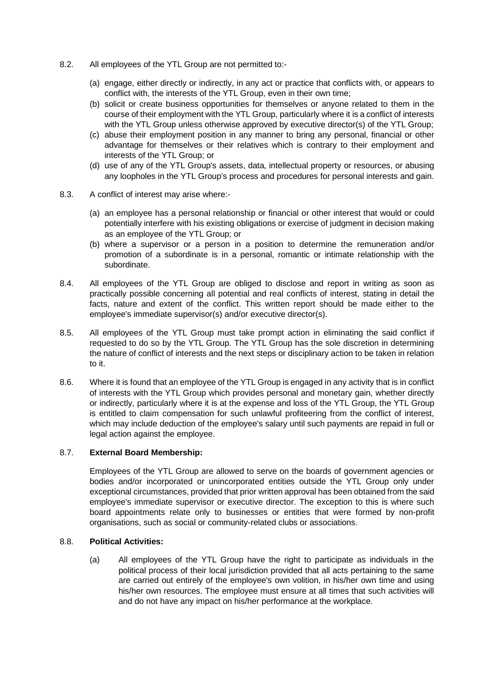- 8.2. All employees of the YTL Group are not permitted to:-
	- (a) engage, either directly or indirectly, in any act or practice that conflicts with, or appears to conflict with, the interests of the YTL Group, even in their own time;
	- (b) solicit or create business opportunities for themselves or anyone related to them in the course of their employment with the YTL Group, particularly where it is a conflict of interests with the YTL Group unless otherwise approved by executive director(s) of the YTL Group;
	- (c) abuse their employment position in any manner to bring any personal, financial or other advantage for themselves or their relatives which is contrary to their employment and interests of the YTL Group; or
	- (d) use of any of the YTL Group's assets, data, intellectual property or resources, or abusing any loopholes in the YTL Group's process and procedures for personal interests and gain.
- 8.3. A conflict of interest may arise where:-
	- (a) an employee has a personal relationship or financial or other interest that would or could potentially interfere with his existing obligations or exercise of judgment in decision making as an employee of the YTL Group; or
	- (b) where a supervisor or a person in a position to determine the remuneration and/or promotion of a subordinate is in a personal, romantic or intimate relationship with the subordinate.
- 8.4. All employees of the YTL Group are obliged to disclose and report in writing as soon as practically possible concerning all potential and real conflicts of interest, stating in detail the facts, nature and extent of the conflict. This written report should be made either to the employee's immediate supervisor(s) and/or executive director(s).
- 8.5. All employees of the YTL Group must take prompt action in eliminating the said conflict if requested to do so by the YTL Group. The YTL Group has the sole discretion in determining the nature of conflict of interests and the next steps or disciplinary action to be taken in relation to it.
- 8.6. Where it is found that an employee of the YTL Group is engaged in any activity that is in conflict of interests with the YTL Group which provides personal and monetary gain, whether directly or indirectly, particularly where it is at the expense and loss of the YTL Group, the YTL Group is entitled to claim compensation for such unlawful profiteering from the conflict of interest, which may include deduction of the employee's salary until such payments are repaid in full or legal action against the employee.

#### 8.7. **External Board Membership:**

Employees of the YTL Group are allowed to serve on the boards of government agencies or bodies and/or incorporated or unincorporated entities outside the YTL Group only under exceptional circumstances, provided that prior written approval has been obtained from the said employee's immediate supervisor or executive director. The exception to this is where such board appointments relate only to businesses or entities that were formed by non-profit organisations, such as social or community-related clubs or associations.

#### 8.8. **Political Activities:**

(a) All employees of the YTL Group have the right to participate as individuals in the political process of their local jurisdiction provided that all acts pertaining to the same are carried out entirely of the employee's own volition, in his/her own time and using his/her own resources. The employee must ensure at all times that such activities will and do not have any impact on his/her performance at the workplace.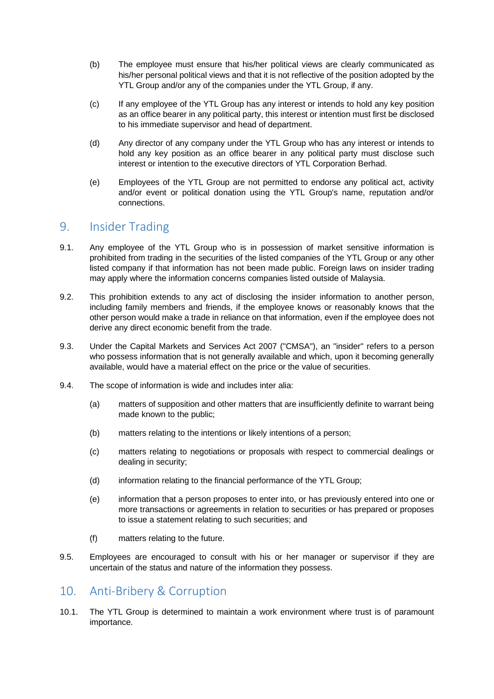- (b) The employee must ensure that his/her political views are clearly communicated as his/her personal political views and that it is not reflective of the position adopted by the YTL Group and/or any of the companies under the YTL Group, if any.
- (c) If any employee of the YTL Group has any interest or intends to hold any key position as an office bearer in any political party, this interest or intention must first be disclosed to his immediate supervisor and head of department.
- (d) Any director of any company under the YTL Group who has any interest or intends to hold any key position as an office bearer in any political party must disclose such interest or intention to the executive directors of YTL Corporation Berhad.
- (e) Employees of the YTL Group are not permitted to endorse any political act, activity and/or event or political donation using the YTL Group's name, reputation and/or connections.

### <span id="page-4-0"></span>9. Insider Trading

- 9.1. Any employee of the YTL Group who is in possession of market sensitive information is prohibited from trading in the securities of the listed companies of the YTL Group or any other listed company if that information has not been made public. Foreign laws on insider trading may apply where the information concerns companies listed outside of Malaysia.
- 9.2. This prohibition extends to any act of disclosing the insider information to another person, including family members and friends, if the employee knows or reasonably knows that the other person would make a trade in reliance on that information, even if the employee does not derive any direct economic benefit from the trade.
- 9.3. Under the Capital Markets and Services Act 2007 ("CMSA"), an "insider" refers to a person who possess information that is not generally available and which, upon it becoming generally available, would have a material effect on the price or the value of securities.
- 9.4. The scope of information is wide and includes inter alia:
	- (a) matters of supposition and other matters that are insufficiently definite to warrant being made known to the public;
	- (b) matters relating to the intentions or likely intentions of a person;
	- (c) matters relating to negotiations or proposals with respect to commercial dealings or dealing in security;
	- (d) information relating to the financial performance of the YTL Group;
	- (e) information that a person proposes to enter into, or has previously entered into one or more transactions or agreements in relation to securities or has prepared or proposes to issue a statement relating to such securities; and
	- (f) matters relating to the future.
- 9.5. Employees are encouraged to consult with his or her manager or supervisor if they are uncertain of the status and nature of the information they possess.

### <span id="page-4-1"></span>10. Anti-Bribery & Corruption

10.1. The YTL Group is determined to maintain a work environment where trust is of paramount importance.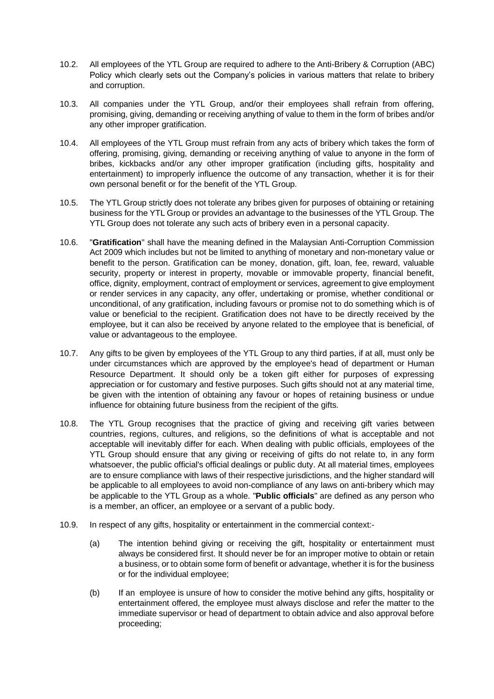- 10.2. All employees of the YTL Group are required to adhere to the Anti-Bribery & Corruption (ABC) Policy which clearly sets out the Company's policies in various matters that relate to bribery and corruption.
- 10.3. All companies under the YTL Group, and/or their employees shall refrain from offering, promising, giving, demanding or receiving anything of value to them in the form of bribes and/or any other improper gratification.
- 10.4. All employees of the YTL Group must refrain from any acts of bribery which takes the form of offering, promising, giving, demanding or receiving anything of value to anyone in the form of bribes, kickbacks and/or any other improper gratification (including gifts, hospitality and entertainment) to improperly influence the outcome of any transaction, whether it is for their own personal benefit or for the benefit of the YTL Group.
- 10.5. The YTL Group strictly does not tolerate any bribes given for purposes of obtaining or retaining business for the YTL Group or provides an advantage to the businesses of the YTL Group. The YTL Group does not tolerate any such acts of bribery even in a personal capacity.
- 10.6. "**Gratification**" shall have the meaning defined in the Malaysian Anti-Corruption Commission Act 2009 which includes but not be limited to anything of monetary and non-monetary value or benefit to the person. Gratification can be money, donation, gift, loan, fee, reward, valuable security, property or interest in property, movable or immovable property, financial benefit, office, dignity, employment, contract of employment or services, agreement to give employment or render services in any capacity, any offer, undertaking or promise, whether conditional or unconditional, of any gratification, including favours or promise not to do something which is of value or beneficial to the recipient. Gratification does not have to be directly received by the employee, but it can also be received by anyone related to the employee that is beneficial, of value or advantageous to the employee.
- 10.7. Any gifts to be given by employees of the YTL Group to any third parties, if at all, must only be under circumstances which are approved by the employee's head of department or Human Resource Department. It should only be a token gift either for purposes of expressing appreciation or for customary and festive purposes. Such gifts should not at any material time, be given with the intention of obtaining any favour or hopes of retaining business or undue influence for obtaining future business from the recipient of the gifts.
- 10.8. The YTL Group recognises that the practice of giving and receiving gift varies between countries, regions, cultures, and religions, so the definitions of what is acceptable and not acceptable will inevitably differ for each. When dealing with public officials, employees of the YTL Group should ensure that any giving or receiving of gifts do not relate to, in any form whatsoever, the public official's official dealings or public duty. At all material times, employees are to ensure compliance with laws of their respective jurisdictions, and the higher standard will be applicable to all employees to avoid non-compliance of any laws on anti-bribery which may be applicable to the YTL Group as a whole. "**Public officials**" are defined as any person who is a member, an officer, an employee or a servant of a public body.
- 10.9. In respect of any gifts, hospitality or entertainment in the commercial context:-
	- (a) The intention behind giving or receiving the gift, hospitality or entertainment must always be considered first. It should never be for an improper motive to obtain or retain a business, or to obtain some form of benefit or advantage, whether it is for the business or for the individual employee;
	- (b) If an employee is unsure of how to consider the motive behind any gifts, hospitality or entertainment offered, the employee must always disclose and refer the matter to the immediate supervisor or head of department to obtain advice and also approval before proceeding;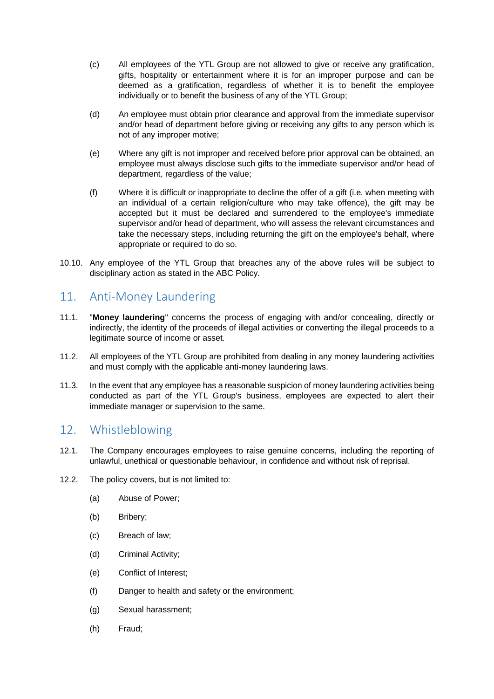- (c) All employees of the YTL Group are not allowed to give or receive any gratification, gifts, hospitality or entertainment where it is for an improper purpose and can be deemed as a gratification, regardless of whether it is to benefit the employee individually or to benefit the business of any of the YTL Group;
- (d) An employee must obtain prior clearance and approval from the immediate supervisor and/or head of department before giving or receiving any gifts to any person which is not of any improper motive;
- (e) Where any gift is not improper and received before prior approval can be obtained, an employee must always disclose such gifts to the immediate supervisor and/or head of department, regardless of the value;
- (f) Where it is difficult or inappropriate to decline the offer of a gift (i.e. when meeting with an individual of a certain religion/culture who may take offence), the gift may be accepted but it must be declared and surrendered to the employee's immediate supervisor and/or head of department, who will assess the relevant circumstances and take the necessary steps, including returning the gift on the employee's behalf, where appropriate or required to do so.
- 10.10. Any employee of the YTL Group that breaches any of the above rules will be subject to disciplinary action as stated in the ABC Policy.

### <span id="page-6-0"></span>11. Anti-Money Laundering

- 11.1. "**Money laundering**" concerns the process of engaging with and/or concealing, directly or indirectly, the identity of the proceeds of illegal activities or converting the illegal proceeds to a legitimate source of income or asset.
- 11.2. All employees of the YTL Group are prohibited from dealing in any money laundering activities and must comply with the applicable anti-money laundering laws.
- 11.3. In the event that any employee has a reasonable suspicion of money laundering activities being conducted as part of the YTL Group's business, employees are expected to alert their immediate manager or supervision to the same.

### <span id="page-6-1"></span>12. Whistleblowing

- 12.1. The Company encourages employees to raise genuine concerns, including the reporting of unlawful, unethical or questionable behaviour, in confidence and without risk of reprisal.
- 12.2. The policy covers, but is not limited to:
	- (a) Abuse of Power;
	- (b) Bribery;
	- (c) Breach of law;
	- (d) Criminal Activity;
	- (e) Conflict of Interest;
	- (f) Danger to health and safety or the environment;
	- (g) Sexual harassment;
	- (h) Fraud;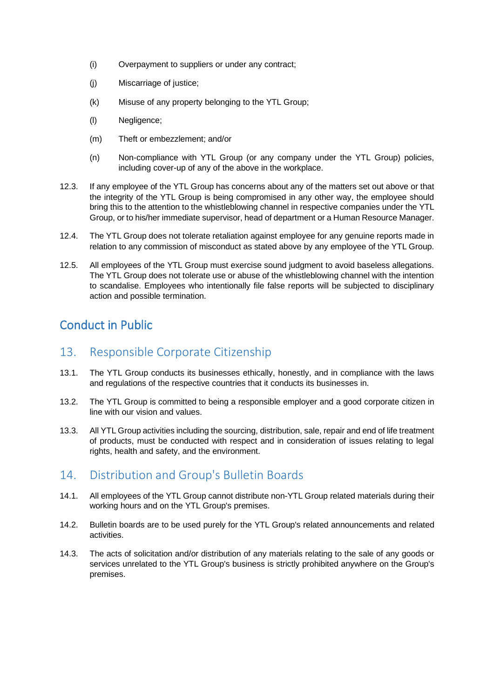- (i) Overpayment to suppliers or under any contract;
- (j) Miscarriage of justice;
- (k) Misuse of any property belonging to the YTL Group;
- (l) Negligence;
- (m) Theft or embezzlement; and/or
- (n) Non-compliance with YTL Group (or any company under the YTL Group) policies, including cover-up of any of the above in the workplace.
- 12.3. If any employee of the YTL Group has concerns about any of the matters set out above or that the integrity of the YTL Group is being compromised in any other way, the employee should bring this to the attention to the whistleblowing channel in respective companies under the YTL Group, or to his/her immediate supervisor, head of department or a Human Resource Manager.
- 12.4. The YTL Group does not tolerate retaliation against employee for any genuine reports made in relation to any commission of misconduct as stated above by any employee of the YTL Group.
- 12.5. All employees of the YTL Group must exercise sound judgment to avoid baseless allegations. The YTL Group does not tolerate use or abuse of the whistleblowing channel with the intention to scandalise. Employees who intentionally file false reports will be subjected to disciplinary action and possible termination.

### <span id="page-7-0"></span>Conduct in Public

### <span id="page-7-1"></span>13. Responsible Corporate Citizenship

- 13.1. The YTL Group conducts its businesses ethically, honestly, and in compliance with the laws and regulations of the respective countries that it conducts its businesses in.
- 13.2. The YTL Group is committed to being a responsible employer and a good corporate citizen in line with our vision and values.
- 13.3. All YTL Group activities including the sourcing, distribution, sale, repair and end of life treatment of products, must be conducted with respect and in consideration of issues relating to legal rights, health and safety, and the environment.

### <span id="page-7-2"></span>14. Distribution and Group's Bulletin Boards

- 14.1. All employees of the YTL Group cannot distribute non-YTL Group related materials during their working hours and on the YTL Group's premises.
- 14.2. Bulletin boards are to be used purely for the YTL Group's related announcements and related activities.
- 14.3. The acts of solicitation and/or distribution of any materials relating to the sale of any goods or services unrelated to the YTL Group's business is strictly prohibited anywhere on the Group's premises.